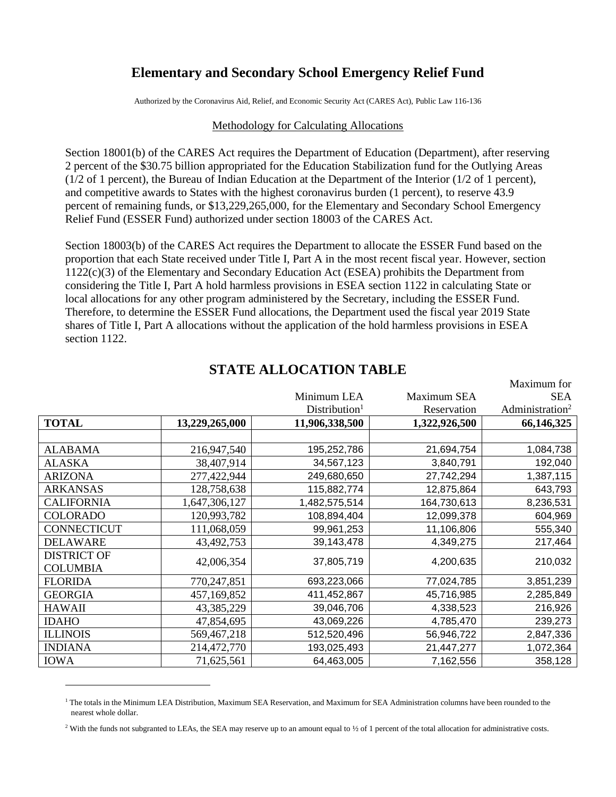## **Elementary and Secondary School Emergency Relief Fund**

Authorized by the Coronavirus Aid, Relief, and Economic Security Act (CARES Act), Public Law 116-136

## Methodology for Calculating Allocations

Section 18001(b) of the CARES Act requires the Department of Education (Department), after reserving 2 percent of the \$30.75 billion appropriated for the Education Stabilization fund for the Outlying Areas  $(1/2)$  of 1 percent), the Bureau of Indian Education at the Department of the Interior ( $1/2$  of 1 percent), and competitive awards to States with the highest coronavirus burden (1 percent), to reserve 43.9 percent of remaining funds, or \$13,229,265,000, for the Elementary and Secondary School Emergency Relief Fund (ESSER Fund) authorized under section 18003 of the CARES Act.

Section 18003(b) of the CARES Act requires the Department to allocate the ESSER Fund based on the proportion that each State received under Title I, Part A in the most recent fiscal year. However, section 1122(c)(3) of the Elementary and Secondary Education Act (ESEA) prohibits the Department from considering the Title I, Part A hold harmless provisions in ESEA section 1122 in calculating State or local allocations for any other program administered by the Secretary, including the ESSER Fund. Therefore, to determine the ESSER Fund allocations, the Department used the fiscal year 2019 State shares of Title I, Part A allocations without the application of the hold harmless provisions in ESEA section 1122.

|                    |                |                           |               | Maximum for                 |
|--------------------|----------------|---------------------------|---------------|-----------------------------|
|                    |                | Minimum LEA               | Maximum SEA   | <b>SEA</b>                  |
|                    |                | Distribution <sup>1</sup> | Reservation   | Administration <sup>2</sup> |
| <b>TOTAL</b>       | 13,229,265,000 | 11,906,338,500            | 1,322,926,500 | 66,146,325                  |
|                    |                |                           |               |                             |
| <b>ALABAMA</b>     | 216,947,540    | 195,252,786               | 21,694,754    | 1,084,738                   |
| <b>ALASKA</b>      | 38,407,914     | 34,567,123                | 3,840,791     | 192,040                     |
| <b>ARIZONA</b>     | 277,422,944    | 249,680,650               | 27,742,294    | 1,387,115                   |
| <b>ARKANSAS</b>    | 128,758,638    | 115,882,774               | 12,875,864    | 643,793                     |
| <b>CALIFORNIA</b>  | 1,647,306,127  | 1,482,575,514             | 164,730,613   | 8,236,531                   |
| <b>COLORADO</b>    | 120,993,782    | 108,894,404               | 12,099,378    | 604,969                     |
| <b>CONNECTICUT</b> | 111,068,059    | 99,961,253                | 11,106,806    | 555,340                     |
| <b>DELAWARE</b>    | 43,492,753     | 39,143,478                | 4,349,275     | 217,464                     |
| <b>DISTRICT OF</b> | 42,006,354     | 37,805,719                | 4,200,635     | 210,032                     |
| <b>COLUMBIA</b>    |                |                           |               |                             |
| <b>FLORIDA</b>     | 770,247,851    | 693,223,066               | 77,024,785    | 3,851,239                   |
| <b>GEORGIA</b>     | 457,169,852    | 411,452,867               | 45,716,985    | 2,285,849                   |
| <b>HAWAII</b>      | 43,385,229     | 39,046,706                | 4,338,523     | 216,926                     |
| <b>IDAHO</b>       | 47,854,695     | 43,069,226                | 4,785,470     | 239,273                     |
| <b>ILLINOIS</b>    | 569,467,218    | 512,520,496               | 56,946,722    | 2,847,336                   |
| <b>INDIANA</b>     | 214,472,770    | 193,025,493               | 21,447,277    | 1,072,364                   |
| <b>IOWA</b>        | 71,625,561     | 64,463,005                | 7,162,556     | 358,128                     |

## **STATE ALLOCATION TABLE**

 $1$  The totals in the Minimum LEA Distribution, Maximum SEA Reservation, and Maximum for SEA Administration columns have been rounded to the nearest whole dollar.

<sup>&</sup>lt;sup>2</sup> With the funds not subgranted to LEAs, the SEA may reserve up to an amount equal to  $\frac{1}{2}$  of 1 percent of the total allocation for administrative costs.